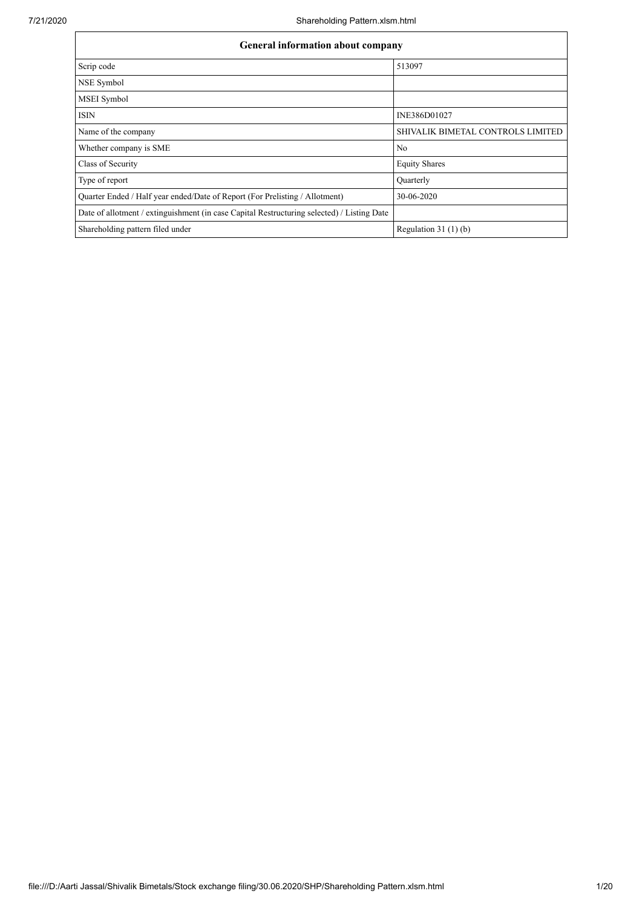| General information about company                                                          |                                   |
|--------------------------------------------------------------------------------------------|-----------------------------------|
| Scrip code                                                                                 | 513097                            |
| NSE Symbol                                                                                 |                                   |
| MSEI Symbol                                                                                |                                   |
| <b>ISIN</b>                                                                                | INE386D01027                      |
| Name of the company                                                                        | SHIVALIK BIMETAL CONTROLS LIMITED |
| Whether company is SME                                                                     | No                                |
| Class of Security                                                                          | <b>Equity Shares</b>              |
| Type of report                                                                             | Quarterly                         |
| Quarter Ended / Half year ended/Date of Report (For Prelisting / Allotment)                | 30-06-2020                        |
| Date of allotment / extinguishment (in case Capital Restructuring selected) / Listing Date |                                   |
| Shareholding pattern filed under                                                           | Regulation $31(1)(b)$             |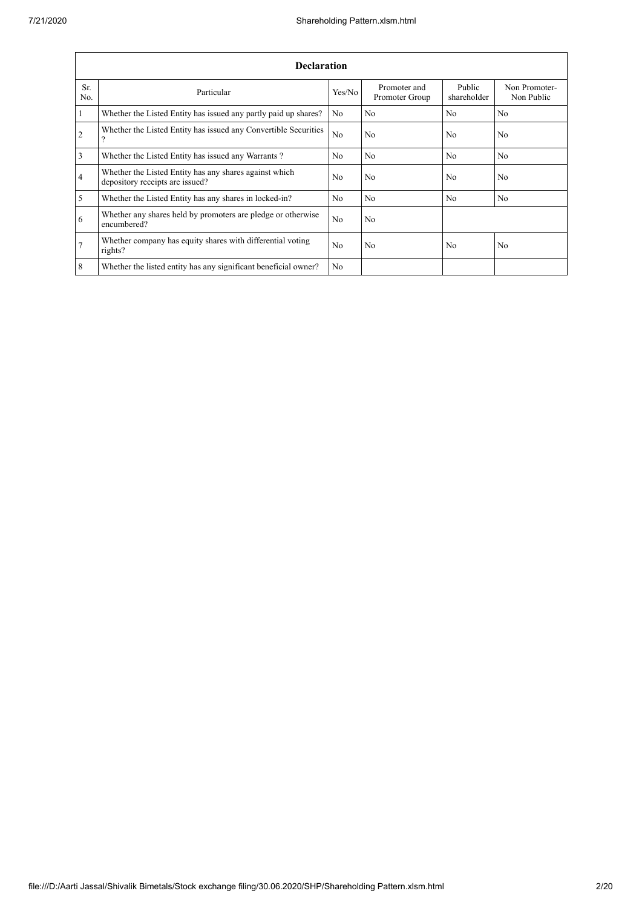|                 | <b>Declaration</b>                                                                          |                |                                |                       |                             |  |  |  |  |  |  |
|-----------------|---------------------------------------------------------------------------------------------|----------------|--------------------------------|-----------------------|-----------------------------|--|--|--|--|--|--|
| Sr.<br>No.      | Particular                                                                                  | Yes/No         | Promoter and<br>Promoter Group | Public<br>shareholder | Non Promoter-<br>Non Public |  |  |  |  |  |  |
| $\vert$ 1       | Whether the Listed Entity has issued any partly paid up shares?                             | No.            | N <sub>0</sub>                 | N <sub>0</sub>        | N <sub>0</sub>              |  |  |  |  |  |  |
| $\overline{2}$  | Whether the Listed Entity has issued any Convertible Securities<br>$\overline{\mathcal{L}}$ | N <sub>o</sub> | No                             | N <sub>0</sub>        | N <sub>0</sub>              |  |  |  |  |  |  |
| $\vert$ 3       | Whether the Listed Entity has issued any Warrants?                                          | N <sub>0</sub> | N <sub>o</sub>                 | N <sub>o</sub>        | No                          |  |  |  |  |  |  |
| $\overline{4}$  | Whether the Listed Entity has any shares against which<br>depository receipts are issued?   | N <sub>0</sub> | No                             | No                    | N <sub>0</sub>              |  |  |  |  |  |  |
| $\overline{5}$  | Whether the Listed Entity has any shares in locked-in?                                      | N <sub>0</sub> | N <sub>0</sub>                 | No                    | N <sub>0</sub>              |  |  |  |  |  |  |
| 6               | Whether any shares held by promoters are pledge or otherwise<br>encumbered?                 | N <sub>0</sub> | N <sub>0</sub>                 |                       |                             |  |  |  |  |  |  |
| $\overline{7}$  | Whether company has equity shares with differential voting<br>rights?                       | N <sub>o</sub> | No                             | No                    | N <sub>o</sub>              |  |  |  |  |  |  |
| $8\phantom{.}8$ | Whether the listed entity has any significant beneficial owner?                             | N <sub>0</sub> |                                |                       |                             |  |  |  |  |  |  |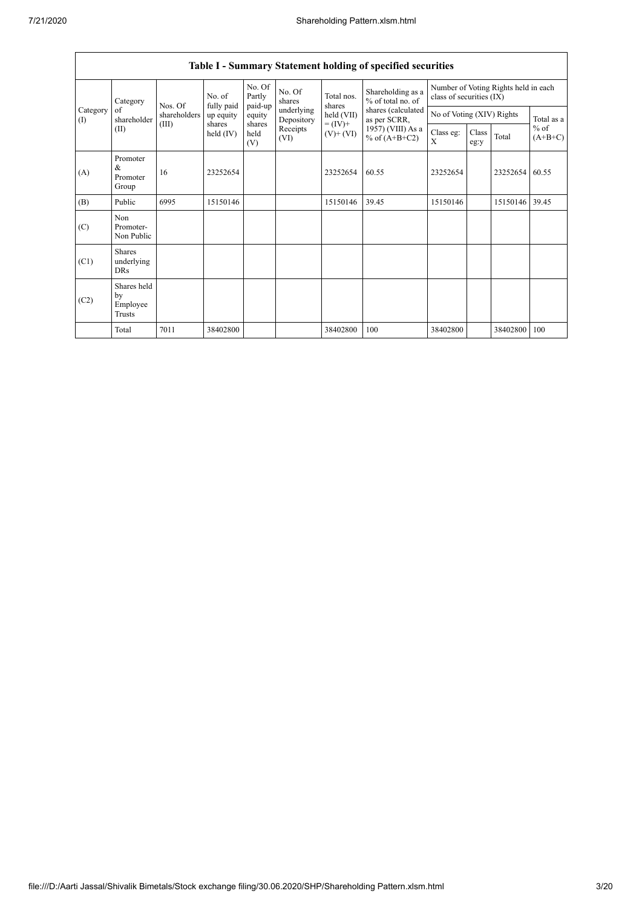|                                                      | Table I - Summary Statement holding of specified securities |                                 |                             |                       |                          |                                        |                                                                  |                           |               |          |                     |  |
|------------------------------------------------------|-------------------------------------------------------------|---------------------------------|-----------------------------|-----------------------|--------------------------|----------------------------------------|------------------------------------------------------------------|---------------------------|---------------|----------|---------------------|--|
| Category<br>of<br>$\left( \mathrm{I}\right)$<br>(II) | Category                                                    | No. of<br>fully paid<br>Nos. Of | No. Of<br>Partly<br>paid-up | No. Of<br>shares      | Total nos.<br>shares     | Shareholding as a<br>% of total no. of | Number of Voting Rights held in each<br>class of securities (IX) |                           |               |          |                     |  |
|                                                      | shareholder                                                 | shareholders                    | up equity                   | equity                | underlying<br>Depository | held (VII)                             | shares (calculated<br>as per SCRR,                               | No of Voting (XIV) Rights |               |          | Total as a          |  |
|                                                      |                                                             | (III)                           | shares<br>held $(IV)$       | shares<br>held<br>(V) | Receipts<br>(VI)         | $= (IV) +$<br>$(V)+(VI)$               | 1957) (VIII) As a<br>% of $(A+B+C2)$                             | Class eg:<br>X            | Class<br>eg:y | Total    | $%$ of<br>$(A+B+C)$ |  |
| (A)                                                  | Promoter<br>&<br>Promoter<br>Group                          | 16                              | 23252654                    |                       |                          | 23252654                               | 60.55                                                            | 23252654                  |               | 23252654 | 60.55               |  |
| (B)                                                  | Public                                                      | 6995                            | 15150146                    |                       |                          | 15150146                               | 39.45                                                            | 15150146                  |               | 15150146 | 39.45               |  |
| (C)                                                  | Non<br>Promoter-<br>Non Public                              |                                 |                             |                       |                          |                                        |                                                                  |                           |               |          |                     |  |
| (C1)                                                 | Shares<br>underlying<br><b>DRs</b>                          |                                 |                             |                       |                          |                                        |                                                                  |                           |               |          |                     |  |
| (C2)                                                 | Shares held<br>by<br>Employee<br>Trusts                     |                                 |                             |                       |                          |                                        |                                                                  |                           |               |          |                     |  |
|                                                      | Total                                                       | 7011                            | 38402800                    |                       |                          | 38402800                               | 100                                                              | 38402800                  |               | 38402800 | 100                 |  |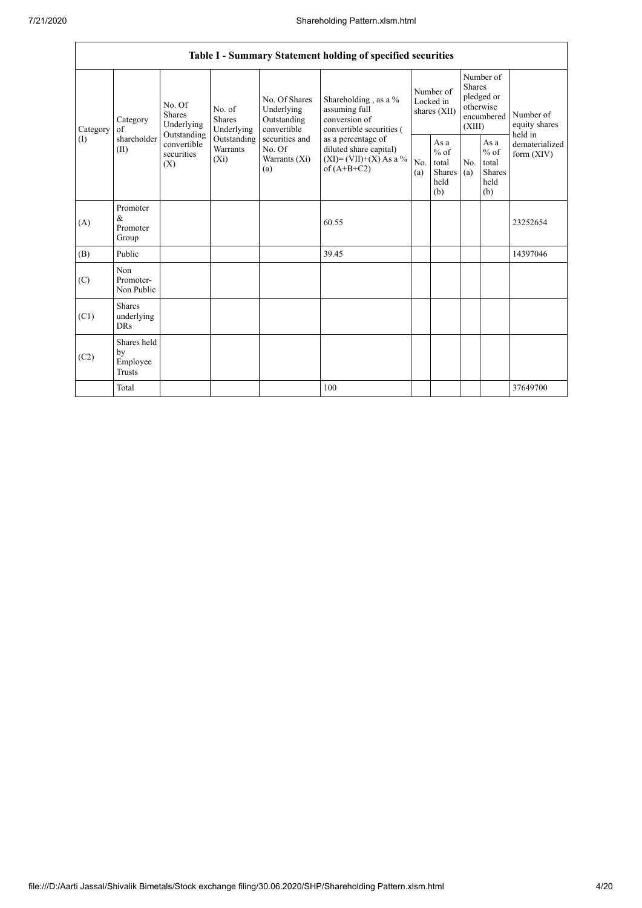|                 |                                           |                                                                                                                                            |             |                                                                                                                  | Table I - Summary Statement holding of specified securities                                                                                                                      |                                        |                                                  |                                                                               |                                                         |                                       |
|-----------------|-------------------------------------------|--------------------------------------------------------------------------------------------------------------------------------------------|-------------|------------------------------------------------------------------------------------------------------------------|----------------------------------------------------------------------------------------------------------------------------------------------------------------------------------|----------------------------------------|--------------------------------------------------|-------------------------------------------------------------------------------|---------------------------------------------------------|---------------------------------------|
| Category<br>(1) | Category<br>of<br>shareholder<br>(II)     | No. Of<br>No. of<br><b>Shares</b><br><b>Shares</b><br>Underlying<br>Outstanding<br>convertible<br>Warrants<br>securities<br>$(X_i)$<br>(X) | Underlying  | No. Of Shares<br>Underlying<br>Outstanding<br>convertible<br>securities and<br>No. Of<br>Warrants $(X_i)$<br>(a) | Shareholding, as a %<br>assuming full<br>conversion of<br>convertible securities (<br>as a percentage of<br>diluted share capital)<br>$(XI) = (VII)+(X) As a %$<br>of $(A+B+C2)$ | Number of<br>Locked in<br>shares (XII) |                                                  | Number of<br><b>Shares</b><br>pledged or<br>otherwise<br>encumbered<br>(XIII) |                                                         | Number of<br>equity shares<br>held in |
|                 |                                           |                                                                                                                                            | Outstanding |                                                                                                                  |                                                                                                                                                                                  | No.<br>(a)                             | As a<br>$%$ of<br>total<br>Shares<br>held<br>(b) | No.<br>(a)                                                                    | As a<br>$%$ of<br>total<br><b>Shares</b><br>held<br>(b) | dematerialized<br>form $(XIV)$        |
| (A)             | Promoter<br>$\&$<br>Promoter<br>Group     |                                                                                                                                            |             |                                                                                                                  | 60.55                                                                                                                                                                            |                                        |                                                  |                                                                               |                                                         | 23252654                              |
| (B)             | Public                                    |                                                                                                                                            |             |                                                                                                                  | 39.45                                                                                                                                                                            |                                        |                                                  |                                                                               |                                                         | 14397046                              |
| (C)             | Non<br>Promoter-<br>Non Public            |                                                                                                                                            |             |                                                                                                                  |                                                                                                                                                                                  |                                        |                                                  |                                                                               |                                                         |                                       |
| (C1)            | <b>Shares</b><br>underlying<br><b>DRs</b> |                                                                                                                                            |             |                                                                                                                  |                                                                                                                                                                                  |                                        |                                                  |                                                                               |                                                         |                                       |
| (C2)            | Shares held<br>by<br>Employee<br>Trusts   |                                                                                                                                            |             |                                                                                                                  |                                                                                                                                                                                  |                                        |                                                  |                                                                               |                                                         |                                       |
|                 | Total                                     |                                                                                                                                            |             |                                                                                                                  | 100                                                                                                                                                                              |                                        |                                                  |                                                                               |                                                         | 37649700                              |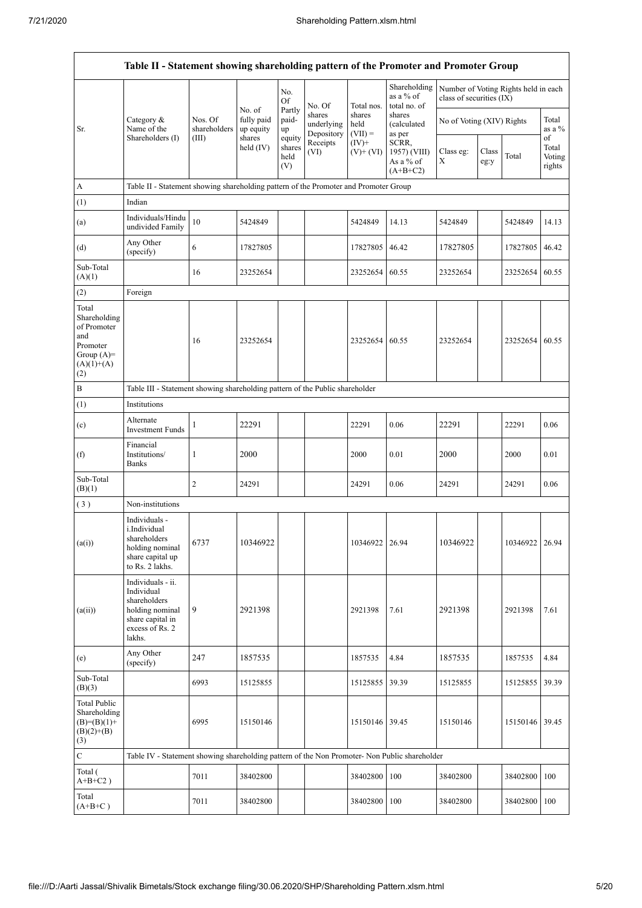|                                                                                                | Table II - Statement showing shareholding pattern of the Promoter and Promoter Group                                |                         |                                   |                                 |                                                        |                             |                                                  |                                                                  |               |                  |                                 |
|------------------------------------------------------------------------------------------------|---------------------------------------------------------------------------------------------------------------------|-------------------------|-----------------------------------|---------------------------------|--------------------------------------------------------|-----------------------------|--------------------------------------------------|------------------------------------------------------------------|---------------|------------------|---------------------------------|
|                                                                                                |                                                                                                                     |                         |                                   | No.<br>Of                       | No. Of                                                 | Total nos.                  | Shareholding<br>as a % of<br>total no. of        | Number of Voting Rights held in each<br>class of securities (IX) |               |                  |                                 |
| Sr.                                                                                            | Category &<br>Name of the                                                                                           | Nos. Of<br>shareholders | No. of<br>fully paid<br>up equity | Partly<br>paid-<br>up           | shares<br>underlying<br>Depository<br>Receipts<br>(VI) | shares<br>held<br>$(VII) =$ | shares<br>(calculated<br>as per                  | No of Voting (XIV) Rights                                        |               |                  | Total<br>as a %                 |
|                                                                                                | Shareholders (I)                                                                                                    | (III)                   | shares<br>held $(IV)$             | equity<br>shares<br>held<br>(V) |                                                        | $(IV)+$<br>$(V)$ + $(VI)$   | SCRR,<br>1957) (VIII)<br>As a % of<br>$(A+B+C2)$ | Class eg:<br>X                                                   | Class<br>eg:y | Total            | of<br>Total<br>Voting<br>rights |
| A                                                                                              | Table II - Statement showing shareholding pattern of the Promoter and Promoter Group                                |                         |                                   |                                 |                                                        |                             |                                                  |                                                                  |               |                  |                                 |
| (1)                                                                                            | Indian                                                                                                              |                         |                                   |                                 |                                                        |                             |                                                  |                                                                  |               |                  |                                 |
| (a)                                                                                            | Individuals/Hindu<br>undivided Family                                                                               | 10                      | 5424849                           |                                 |                                                        | 5424849                     | 14.13                                            | 5424849                                                          |               | 5424849          | 14.13                           |
| (d)                                                                                            | Any Other<br>(specify)                                                                                              | 6                       | 17827805                          |                                 |                                                        | 17827805                    | 46.42                                            | 17827805                                                         |               | 17827805         | 46.42                           |
| Sub-Total<br>(A)(1)                                                                            |                                                                                                                     | 16                      | 23252654                          |                                 |                                                        | 23252654                    | 60.55                                            | 23252654                                                         |               | 23252654         | 60.55                           |
| (2)                                                                                            | Foreign                                                                                                             |                         |                                   |                                 |                                                        |                             |                                                  |                                                                  |               |                  |                                 |
| Total<br>Shareholding<br>of Promoter<br>and<br>Promoter<br>Group $(A)=$<br>$(A)(1)+(A)$<br>(2) |                                                                                                                     | 16                      | 23252654                          |                                 |                                                        | 23252654                    | 60.55                                            | 23252654                                                         |               | 23252654         | 60.55                           |
| $\, {\bf B}$                                                                                   | Table III - Statement showing shareholding pattern of the Public shareholder                                        |                         |                                   |                                 |                                                        |                             |                                                  |                                                                  |               |                  |                                 |
| (1)                                                                                            | Institutions                                                                                                        |                         |                                   |                                 |                                                        |                             |                                                  |                                                                  |               |                  |                                 |
| (c)                                                                                            | Alternate<br><b>Investment Funds</b>                                                                                | 1                       | 22291                             |                                 |                                                        | 22291                       | 0.06                                             | 22291                                                            |               | 22291            | 0.06                            |
| (f)                                                                                            | Financial<br>Institutions/<br><b>Banks</b>                                                                          | 1                       | 2000                              |                                 |                                                        | 2000                        | 0.01                                             | 2000                                                             |               | 2000             | 0.01                            |
| Sub-Total<br>(B)(1)                                                                            |                                                                                                                     | 2                       | 24291                             |                                 |                                                        | 24291                       | 0.06                                             | 24291                                                            |               | 24291            | 0.06                            |
| (3)                                                                                            | Non-institutions                                                                                                    |                         |                                   |                                 |                                                        |                             |                                                  |                                                                  |               |                  |                                 |
| (a(i))                                                                                         | Individuals -<br>i.Individual<br>shareholders<br>holding nominal<br>share capital up<br>to Rs. 2 lakhs.             | 6737                    | 10346922                          |                                 |                                                        | 10346922   26.94            |                                                  | 10346922                                                         |               | 10346922   26.94 |                                 |
| (a(ii))                                                                                        | Individuals - ii.<br>Individual<br>shareholders<br>holding nominal<br>share capital in<br>excess of Rs. 2<br>lakhs. | 9                       | 2921398                           |                                 |                                                        | 2921398                     | 7.61                                             | 2921398                                                          |               | 2921398          | 7.61                            |
| (e)                                                                                            | Any Other<br>(specify)                                                                                              | 247                     | 1857535                           |                                 |                                                        | 1857535                     | 4.84                                             | 1857535                                                          |               | 1857535          | 4.84                            |
| Sub-Total<br>(B)(3)                                                                            |                                                                                                                     | 6993                    | 15125855                          |                                 |                                                        | 15125855                    | 39.39                                            | 15125855                                                         |               | 15125855         | 39.39                           |
| <b>Total Public</b><br>Shareholding<br>$(B)=(B)(1)+$<br>$(B)(2)+(B)$<br>(3)                    |                                                                                                                     | 6995                    | 15150146                          |                                 |                                                        | 15150146 39.45              |                                                  | 15150146                                                         |               | 15150146 39.45   |                                 |
| $\mathbf C$                                                                                    | Table IV - Statement showing shareholding pattern of the Non Promoter- Non Public shareholder                       |                         |                                   |                                 |                                                        |                             |                                                  |                                                                  |               |                  |                                 |
| Total (<br>$A+B+C2$ )                                                                          |                                                                                                                     | 7011                    | 38402800                          |                                 |                                                        | 38402800                    | 100                                              | 38402800                                                         |               | 38402800 100     |                                 |
| Total<br>$(A+B+C)$                                                                             |                                                                                                                     | 7011                    | 38402800                          |                                 |                                                        | 38402800                    | 100                                              | 38402800                                                         |               | 38402800 100     |                                 |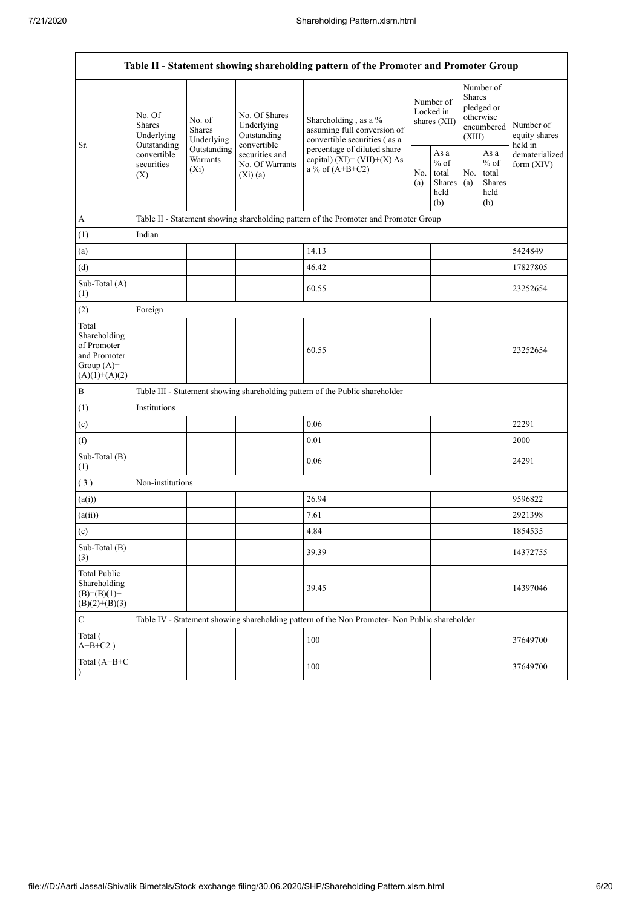| Table II - Statement showing shareholding pattern of the Promoter and Promoter Group    |                                                 |                                       |                                                           |                                                                                                                                                                           |  |                                                  |            |                                                                               |                                       |  |  |
|-----------------------------------------------------------------------------------------|-------------------------------------------------|---------------------------------------|-----------------------------------------------------------|---------------------------------------------------------------------------------------------------------------------------------------------------------------------------|--|--------------------------------------------------|------------|-------------------------------------------------------------------------------|---------------------------------------|--|--|
|                                                                                         | No. Of<br><b>Shares</b><br>Underlying           | No. of<br><b>Shares</b><br>Underlying | No. Of Shares<br>Underlying<br>Outstanding<br>convertible | Shareholding, as a %<br>assuming full conversion of<br>convertible securities (as a<br>percentage of diluted share<br>capital) $(XI) = (VII)+(X) As$<br>a % of $(A+B+C2)$ |  | Number of<br>Locked in<br>shares (XII)           |            | Number of<br><b>Shares</b><br>pledged or<br>otherwise<br>encumbered<br>(XIII) | Number of<br>equity shares<br>held in |  |  |
| Sr.                                                                                     | Outstanding<br>convertible<br>securities<br>(X) | Outstanding<br>Warrants<br>$(X_i)$    | securities and<br>No. Of Warrants<br>(Xi)(a)              |                                                                                                                                                                           |  | As a<br>$%$ of<br>total<br>Shares<br>held<br>(b) | No.<br>(a) | As a<br>$%$ of<br>total<br><b>Shares</b><br>held<br>(b)                       | dematerialized<br>form $(XIV)$        |  |  |
| A                                                                                       |                                                 |                                       |                                                           | Table II - Statement showing shareholding pattern of the Promoter and Promoter Group                                                                                      |  |                                                  |            |                                                                               |                                       |  |  |
| (1)                                                                                     | Indian                                          |                                       |                                                           |                                                                                                                                                                           |  |                                                  |            |                                                                               |                                       |  |  |
| (a)                                                                                     |                                                 |                                       |                                                           | 14.13                                                                                                                                                                     |  |                                                  |            |                                                                               | 5424849                               |  |  |
| (d)                                                                                     |                                                 |                                       |                                                           | 46.42                                                                                                                                                                     |  |                                                  |            |                                                                               | 17827805                              |  |  |
| Sub-Total (A)<br>(1)                                                                    |                                                 |                                       |                                                           | 60.55                                                                                                                                                                     |  |                                                  |            |                                                                               | 23252654                              |  |  |
| (2)                                                                                     | Foreign                                         |                                       |                                                           |                                                                                                                                                                           |  |                                                  |            |                                                                               |                                       |  |  |
| Total<br>Shareholding<br>of Promoter<br>and Promoter<br>Group $(A)=$<br>$(A)(1)+(A)(2)$ |                                                 |                                       |                                                           | 60.55                                                                                                                                                                     |  |                                                  |            |                                                                               | 23252654                              |  |  |
| B                                                                                       |                                                 |                                       |                                                           | Table III - Statement showing shareholding pattern of the Public shareholder                                                                                              |  |                                                  |            |                                                                               |                                       |  |  |
| (1)                                                                                     | Institutions                                    |                                       |                                                           |                                                                                                                                                                           |  |                                                  |            |                                                                               |                                       |  |  |
| (c)                                                                                     |                                                 |                                       |                                                           | 0.06                                                                                                                                                                      |  |                                                  |            |                                                                               | 22291                                 |  |  |
| (f)                                                                                     |                                                 |                                       |                                                           | 0.01                                                                                                                                                                      |  |                                                  |            |                                                                               | 2000                                  |  |  |
| Sub-Total (B)<br>(1)                                                                    |                                                 |                                       |                                                           | 0.06                                                                                                                                                                      |  |                                                  |            |                                                                               | 24291                                 |  |  |
| (3)                                                                                     | Non-institutions                                |                                       |                                                           |                                                                                                                                                                           |  |                                                  |            |                                                                               |                                       |  |  |
| (a(i))                                                                                  |                                                 |                                       |                                                           | 26.94                                                                                                                                                                     |  |                                                  |            |                                                                               | 9596822                               |  |  |
| (a(ii))                                                                                 |                                                 |                                       |                                                           | 7.61                                                                                                                                                                      |  |                                                  |            |                                                                               | 2921398                               |  |  |
| (e)                                                                                     |                                                 |                                       |                                                           | 4.84                                                                                                                                                                      |  |                                                  |            |                                                                               | 1854535                               |  |  |
| Sub-Total (B)<br>(3)                                                                    |                                                 |                                       |                                                           | 39.39                                                                                                                                                                     |  |                                                  |            |                                                                               | 14372755                              |  |  |
| <b>Total Public</b><br>Shareholding<br>$(B)= (B)(1) +$<br>$(B)(2)+(B)(3)$               |                                                 |                                       |                                                           | 39.45                                                                                                                                                                     |  |                                                  |            |                                                                               | 14397046                              |  |  |
| ${\bf C}$                                                                               |                                                 |                                       |                                                           | Table IV - Statement showing shareholding pattern of the Non Promoter- Non Public shareholder                                                                             |  |                                                  |            |                                                                               |                                       |  |  |
| Total (<br>$A+B+C2$ )                                                                   |                                                 |                                       |                                                           | 100                                                                                                                                                                       |  |                                                  |            |                                                                               | 37649700                              |  |  |
| Total $(A+B+C)$<br>$\lambda$                                                            |                                                 |                                       |                                                           | 100                                                                                                                                                                       |  |                                                  |            |                                                                               | 37649700                              |  |  |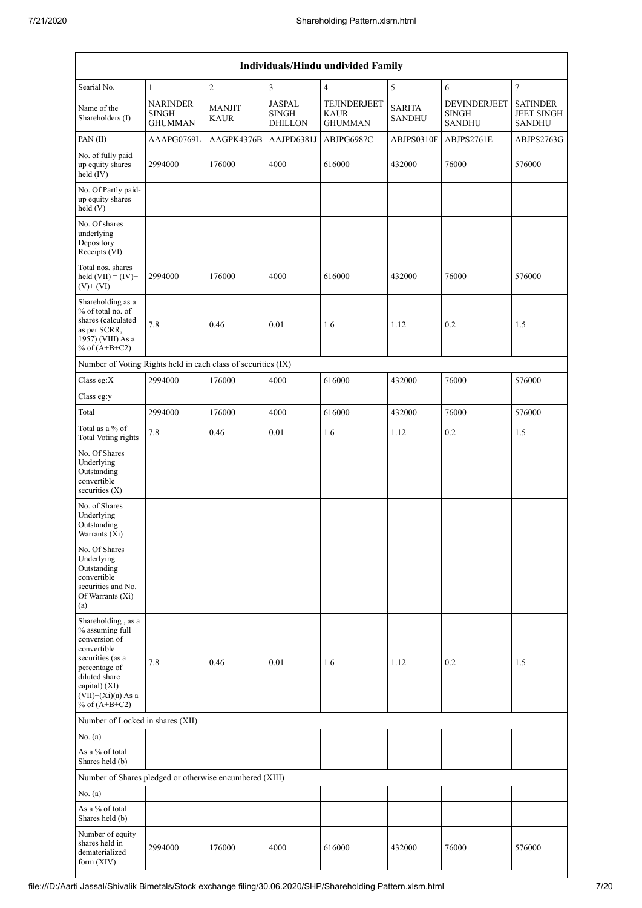| <b>Individuals/Hindu undivided Family</b>                                                                                                                                                |                                                   |                |                                                 |                                        |                                |                                                      |                                                       |  |  |  |  |
|------------------------------------------------------------------------------------------------------------------------------------------------------------------------------------------|---------------------------------------------------|----------------|-------------------------------------------------|----------------------------------------|--------------------------------|------------------------------------------------------|-------------------------------------------------------|--|--|--|--|
| Searial No.                                                                                                                                                                              | $\mathbf{1}$                                      | $\overline{c}$ | 3                                               | 4                                      | 5                              | 6                                                    | $\overline{7}$                                        |  |  |  |  |
| Name of the<br>Shareholders (I)                                                                                                                                                          | <b>NARINDER</b><br><b>SINGH</b><br><b>GHUMMAN</b> | MANJIT<br>KAUR | <b>JASPAL</b><br><b>SINGH</b><br><b>DHILLON</b> | TEJINDERJEET<br>KAUR<br><b>GHUMMAN</b> | <b>SARITA</b><br><b>SANDHU</b> | <b>DEVINDERJEET</b><br><b>SINGH</b><br><b>SANDHU</b> | <b>SATINDER</b><br><b>JEET SINGH</b><br><b>SANDHU</b> |  |  |  |  |
| PAN(II)                                                                                                                                                                                  | AAAPG0769L                                        | AAGPK4376B     | AAJPD6381J                                      | ABJPG6987C                             | ABJPS0310F                     | ABJPS2761E                                           | ABJPS2763G                                            |  |  |  |  |
| No. of fully paid<br>up equity shares<br>held (IV)                                                                                                                                       | 2994000                                           | 176000         | 4000                                            | 616000                                 | 432000                         | 76000                                                | 576000                                                |  |  |  |  |
| No. Of Partly paid-<br>up equity shares<br>held (V)                                                                                                                                      |                                                   |                |                                                 |                                        |                                |                                                      |                                                       |  |  |  |  |
| No. Of shares<br>underlying<br>Depository<br>Receipts (VI)                                                                                                                               |                                                   |                |                                                 |                                        |                                |                                                      |                                                       |  |  |  |  |
| Total nos. shares<br>held $(VII) = (IV) +$<br>$(V)$ + $(VI)$                                                                                                                             | 2994000                                           | 176000         | 4000                                            | 616000                                 | 432000                         | 76000                                                | 576000                                                |  |  |  |  |
| Shareholding as a<br>% of total no. of<br>shares (calculated<br>as per SCRR,<br>1957) (VIII) As a<br>% of $(A+B+C2)$                                                                     | 7.8                                               | 0.46           | 0.01                                            | 1.6                                    | 1.12                           | 0.2                                                  | 1.5                                                   |  |  |  |  |
| Number of Voting Rights held in each class of securities (IX)                                                                                                                            |                                                   |                |                                                 |                                        |                                |                                                      |                                                       |  |  |  |  |
| Class eg:X                                                                                                                                                                               | 2994000                                           | 176000         | 4000                                            | 616000                                 | 432000                         | 76000                                                | 576000                                                |  |  |  |  |
| Class eg:y                                                                                                                                                                               |                                                   |                |                                                 |                                        |                                |                                                      |                                                       |  |  |  |  |
| Total                                                                                                                                                                                    | 2994000                                           | 176000         | 4000                                            | 616000                                 | 432000                         | 76000                                                | 576000                                                |  |  |  |  |
| Total as a % of<br><b>Total Voting rights</b>                                                                                                                                            | $7.8\,$                                           | 0.46           | 0.01                                            | 1.6                                    | 1.12                           | 0.2                                                  | 1.5                                                   |  |  |  |  |
| No. Of Shares<br>Underlying<br>Outstanding<br>convertible<br>securities (X)                                                                                                              |                                                   |                |                                                 |                                        |                                |                                                      |                                                       |  |  |  |  |
| No. of Shares<br>Underlying<br>Outstanding<br>Warrants (Xi)                                                                                                                              |                                                   |                |                                                 |                                        |                                |                                                      |                                                       |  |  |  |  |
| No. Of Shares<br>Underlying<br>Outstanding<br>convertible<br>securities and No.<br>Of Warrants (Xi)<br>(a)                                                                               |                                                   |                |                                                 |                                        |                                |                                                      |                                                       |  |  |  |  |
| Shareholding, as a<br>% assuming full<br>conversion of<br>convertible<br>securities (as a<br>percentage of<br>diluted share<br>capital) (XI)=<br>$(VII)+(Xi)(a)$ As a<br>% of $(A+B+C2)$ | $7.8\,$                                           | 0.46           | 0.01                                            | 1.6                                    | 1.12                           | 0.2                                                  | 1.5                                                   |  |  |  |  |
| Number of Locked in shares (XII)                                                                                                                                                         |                                                   |                |                                                 |                                        |                                |                                                      |                                                       |  |  |  |  |
| No. (a)                                                                                                                                                                                  |                                                   |                |                                                 |                                        |                                |                                                      |                                                       |  |  |  |  |
| As a % of total<br>Shares held (b)                                                                                                                                                       |                                                   |                |                                                 |                                        |                                |                                                      |                                                       |  |  |  |  |
| Number of Shares pledged or otherwise encumbered (XIII)                                                                                                                                  |                                                   |                |                                                 |                                        |                                |                                                      |                                                       |  |  |  |  |
| No. (a)                                                                                                                                                                                  |                                                   |                |                                                 |                                        |                                |                                                      |                                                       |  |  |  |  |
| As a % of total<br>Shares held (b)                                                                                                                                                       |                                                   |                |                                                 |                                        |                                |                                                      |                                                       |  |  |  |  |
| Number of equity<br>shares held in<br>dematerialized<br>form (XIV)                                                                                                                       | 2994000                                           | 176000         | 4000                                            | 616000                                 | 432000                         | 76000                                                | 576000                                                |  |  |  |  |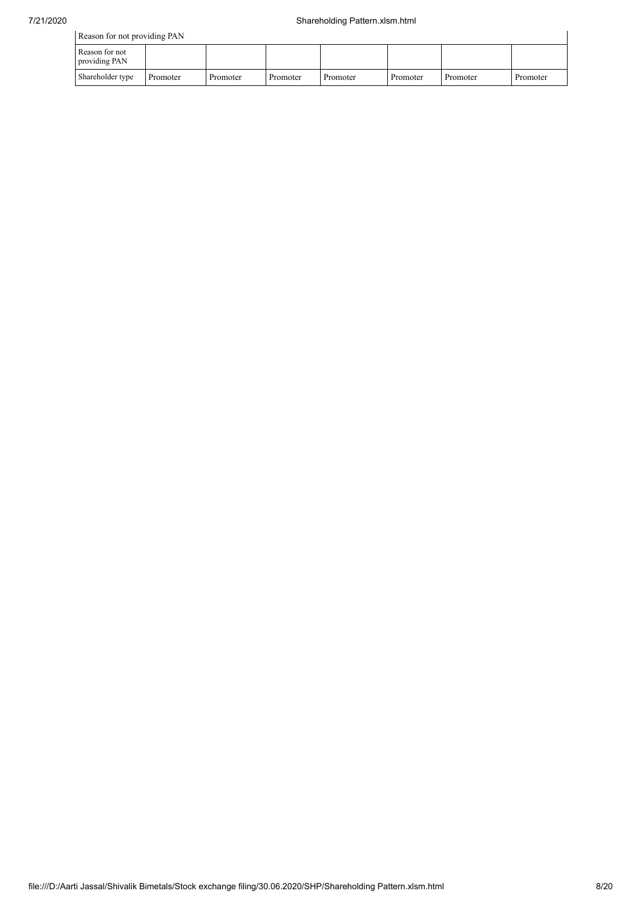| Reason for not providing PAN    |          |          |          |          |          |          |          |  |  |
|---------------------------------|----------|----------|----------|----------|----------|----------|----------|--|--|
| Reason for not<br>providing PAN |          |          |          |          |          |          |          |  |  |
| Shareholder type                | Promoter | Promoter | Promoter | Promoter | Promoter | Promoter | Promoter |  |  |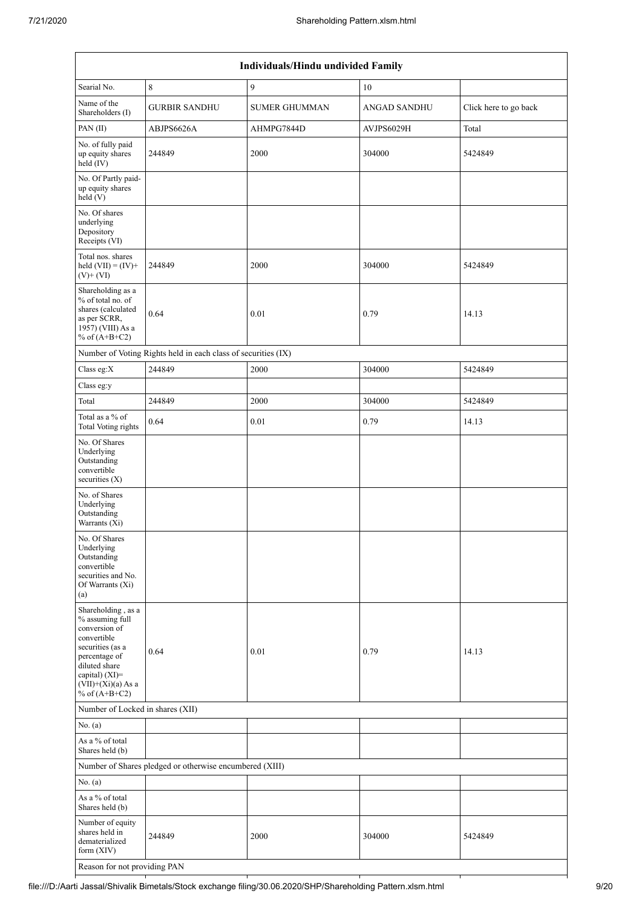| Individuals/Hindu undivided Family                                                                                                                                                          |                                                               |                      |                     |                       |  |  |  |  |  |  |
|---------------------------------------------------------------------------------------------------------------------------------------------------------------------------------------------|---------------------------------------------------------------|----------------------|---------------------|-----------------------|--|--|--|--|--|--|
| Searial No.                                                                                                                                                                                 | $\,8\,$                                                       | 9                    | 10                  |                       |  |  |  |  |  |  |
| Name of the<br>Shareholders (I)                                                                                                                                                             | <b>GURBIR SANDHU</b>                                          | <b>SUMER GHUMMAN</b> | <b>ANGAD SANDHU</b> | Click here to go back |  |  |  |  |  |  |
| PAN (II)                                                                                                                                                                                    | ABJPS6626A                                                    | AHMPG7844D           | AVJPS6029H          | Total                 |  |  |  |  |  |  |
| No. of fully paid<br>up equity shares<br>held (IV)                                                                                                                                          | 244849                                                        | 2000                 | 304000              | 5424849               |  |  |  |  |  |  |
| No. Of Partly paid-<br>up equity shares<br>held (V)                                                                                                                                         |                                                               |                      |                     |                       |  |  |  |  |  |  |
| No. Of shares<br>underlying<br>Depository<br>Receipts (VI)                                                                                                                                  |                                                               |                      |                     |                       |  |  |  |  |  |  |
| Total nos. shares<br>held $(VII) = (IV) +$<br>$(V)$ + $(VI)$                                                                                                                                | 244849                                                        | 2000                 | 304000              | 5424849               |  |  |  |  |  |  |
| Shareholding as a<br>% of total no. of<br>shares (calculated<br>as per SCRR,<br>1957) (VIII) As a<br>% of $(A+B+C2)$                                                                        | 0.64                                                          | 0.01                 | 0.79                | 14.13                 |  |  |  |  |  |  |
|                                                                                                                                                                                             | Number of Voting Rights held in each class of securities (IX) |                      |                     |                       |  |  |  |  |  |  |
| Class eg:X                                                                                                                                                                                  | 244849                                                        | 2000                 | 304000              | 5424849               |  |  |  |  |  |  |
| Class eg:y                                                                                                                                                                                  |                                                               |                      |                     |                       |  |  |  |  |  |  |
| Total                                                                                                                                                                                       | 244849                                                        | 2000                 | 304000              | 5424849               |  |  |  |  |  |  |
| Total as a % of<br>Total Voting rights                                                                                                                                                      | 0.64                                                          | 0.01                 | 0.79                | 14.13                 |  |  |  |  |  |  |
| No. Of Shares<br>Underlying<br>Outstanding<br>convertible<br>securities (X)                                                                                                                 |                                                               |                      |                     |                       |  |  |  |  |  |  |
| No. of Shares<br>Underlying<br>Outstanding<br>Warrants (Xi)                                                                                                                                 |                                                               |                      |                     |                       |  |  |  |  |  |  |
| No. Of Shares<br>Underlying<br>Outstanding<br>convertible<br>securities and No.<br>Of Warrants (Xi)<br>(a)                                                                                  |                                                               |                      |                     |                       |  |  |  |  |  |  |
| Shareholding, as a<br>% assuming full<br>conversion of<br>convertible<br>securities (as a<br>percentage of<br>diluted share<br>capital) $(XI)$ =<br>$(VII)+(Xi)(a)$ As a<br>% of $(A+B+C2)$ | 0.64                                                          | 0.01                 | 0.79                | 14.13                 |  |  |  |  |  |  |
| Number of Locked in shares (XII)                                                                                                                                                            |                                                               |                      |                     |                       |  |  |  |  |  |  |
| No. (a)                                                                                                                                                                                     |                                                               |                      |                     |                       |  |  |  |  |  |  |
| As a % of total<br>Shares held (b)                                                                                                                                                          |                                                               |                      |                     |                       |  |  |  |  |  |  |
|                                                                                                                                                                                             | Number of Shares pledged or otherwise encumbered (XIII)       |                      |                     |                       |  |  |  |  |  |  |
| No. (a)                                                                                                                                                                                     |                                                               |                      |                     |                       |  |  |  |  |  |  |
| As a % of total<br>Shares held (b)                                                                                                                                                          |                                                               |                      |                     |                       |  |  |  |  |  |  |
| Number of equity<br>shares held in<br>dematerialized<br>form (XIV)                                                                                                                          | 244849                                                        | 2000                 | 304000              | 5424849               |  |  |  |  |  |  |
| Reason for not providing PAN                                                                                                                                                                |                                                               |                      |                     |                       |  |  |  |  |  |  |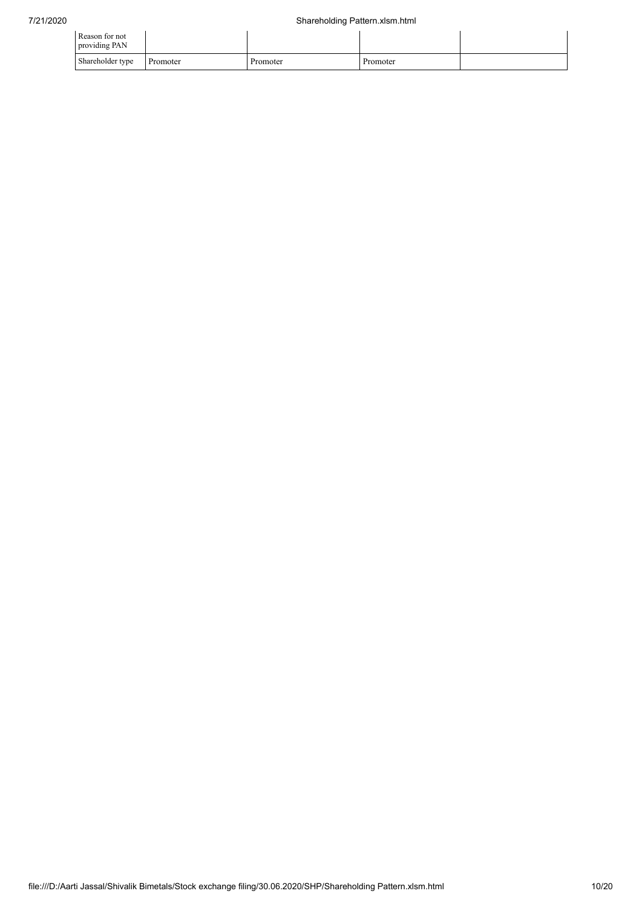| Reason for not<br>providing PAN |          |          |          |  |
|---------------------------------|----------|----------|----------|--|
| Shareholder type                | Promoter | Promoter | Promoter |  |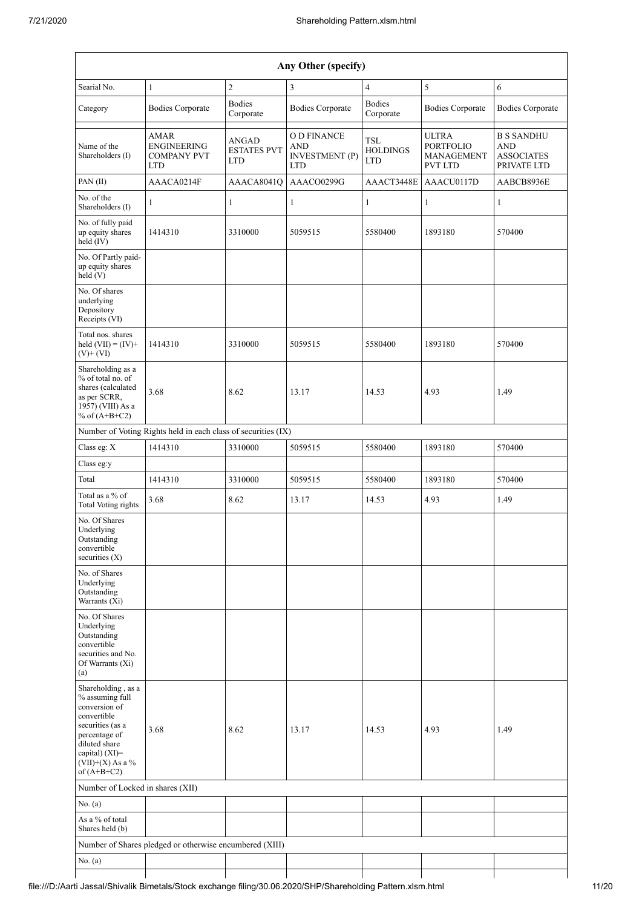| Any Other (specify)                                                                                                                                                                  |                                                                       |                                                  |                                                                  |                                             |                                                                  |                                                                     |  |  |  |  |  |
|--------------------------------------------------------------------------------------------------------------------------------------------------------------------------------------|-----------------------------------------------------------------------|--------------------------------------------------|------------------------------------------------------------------|---------------------------------------------|------------------------------------------------------------------|---------------------------------------------------------------------|--|--|--|--|--|
| Searial No.                                                                                                                                                                          | $\mathbf{1}$                                                          | $\overline{c}$                                   | 3                                                                | $\overline{4}$                              | 5                                                                | 6                                                                   |  |  |  |  |  |
| Category                                                                                                                                                                             | <b>Bodies Corporate</b>                                               | <b>Bodies</b><br>Corporate                       | <b>Bodies Corporate</b>                                          | <b>Bodies</b><br>Corporate                  | <b>Bodies Corporate</b>                                          | <b>Bodies Corporate</b>                                             |  |  |  |  |  |
| Name of the<br>Shareholders (I)                                                                                                                                                      | <b>AMAR</b><br><b>ENGINEERING</b><br><b>COMPANY PVT</b><br><b>LTD</b> | <b>ANGAD</b><br><b>ESTATES PVT</b><br><b>LTD</b> | O D FINANCE<br><b>AND</b><br><b>INVESTMENT</b> (P)<br><b>LTD</b> | <b>TSL</b><br><b>HOLDINGS</b><br><b>LTD</b> | <b>ULTRA</b><br><b>PORTFOLIO</b><br>MANAGEMENT<br><b>PVT LTD</b> | <b>B S SANDHU</b><br><b>AND</b><br><b>ASSOCIATES</b><br>PRIVATE LTD |  |  |  |  |  |
| PAN(II)                                                                                                                                                                              | AAACA0214F                                                            | AAACA8041Q                                       | AAACO0299G                                                       | AAACT3448E                                  | AAACU0117D                                                       | AABCB8936E                                                          |  |  |  |  |  |
| No. of the<br>Shareholders (I)                                                                                                                                                       | 1                                                                     | $\mathbf{1}$                                     | $\mathbf{1}$                                                     | $\mathbf{1}$                                | 1                                                                | 1                                                                   |  |  |  |  |  |
| No. of fully paid<br>up equity shares<br>held (IV)                                                                                                                                   | 1414310                                                               | 3310000                                          | 5059515                                                          | 5580400                                     | 1893180                                                          | 570400                                                              |  |  |  |  |  |
| No. Of Partly paid-<br>up equity shares<br>held(V)                                                                                                                                   |                                                                       |                                                  |                                                                  |                                             |                                                                  |                                                                     |  |  |  |  |  |
| No. Of shares<br>underlying<br>Depository<br>Receipts (VI)                                                                                                                           |                                                                       |                                                  |                                                                  |                                             |                                                                  |                                                                     |  |  |  |  |  |
| Total nos. shares<br>held $(VII) = (IV) +$<br>$(V)+(VI)$                                                                                                                             | 1414310                                                               | 3310000                                          | 5059515                                                          | 5580400                                     | 1893180                                                          | 570400                                                              |  |  |  |  |  |
| Shareholding as a<br>% of total no. of<br>shares (calculated<br>as per SCRR,<br>1957) (VIII) As a<br>% of $(A+B+C2)$                                                                 | 3.68                                                                  | 8.62                                             | 13.17                                                            | 14.53                                       | 4.93                                                             | 1.49                                                                |  |  |  |  |  |
|                                                                                                                                                                                      | Number of Voting Rights held in each class of securities (IX)         |                                                  |                                                                  |                                             |                                                                  |                                                                     |  |  |  |  |  |
| Class eg: X                                                                                                                                                                          | 1414310                                                               | 3310000                                          | 5059515                                                          | 5580400                                     | 1893180                                                          | 570400                                                              |  |  |  |  |  |
| Class eg:y                                                                                                                                                                           |                                                                       |                                                  |                                                                  |                                             |                                                                  |                                                                     |  |  |  |  |  |
| Total                                                                                                                                                                                | 1414310                                                               | 3310000                                          | 5059515                                                          | 5580400                                     | 1893180                                                          | 570400                                                              |  |  |  |  |  |
| Total as a % of<br>Total Voting rights                                                                                                                                               | 3.68                                                                  | 8.62                                             | 13.17                                                            | 14.53                                       | 4.93                                                             | 1.49                                                                |  |  |  |  |  |
| No. Of Shares<br>Underlying<br>Outstanding<br>convertible<br>securities $(X)$                                                                                                        |                                                                       |                                                  |                                                                  |                                             |                                                                  |                                                                     |  |  |  |  |  |
| No. of Shares<br>Underlying<br>Outstanding<br>Warrants (Xi)                                                                                                                          |                                                                       |                                                  |                                                                  |                                             |                                                                  |                                                                     |  |  |  |  |  |
| No. Of Shares<br>Underlying<br>Outstanding<br>convertible<br>securities and No.<br>Of Warrants (Xi)<br>(a)                                                                           |                                                                       |                                                  |                                                                  |                                             |                                                                  |                                                                     |  |  |  |  |  |
| Shareholding, as a<br>% assuming full<br>conversion of<br>convertible<br>securities (as a<br>percentage of<br>diluted share<br>capital) (XI)=<br>$(VII)+(X)$ As a %<br>of $(A+B+C2)$ | 3.68                                                                  | 8.62                                             | 13.17                                                            | 14.53                                       | 4.93                                                             | 1.49                                                                |  |  |  |  |  |
| Number of Locked in shares (XII)                                                                                                                                                     |                                                                       |                                                  |                                                                  |                                             |                                                                  |                                                                     |  |  |  |  |  |
| No. $(a)$                                                                                                                                                                            |                                                                       |                                                  |                                                                  |                                             |                                                                  |                                                                     |  |  |  |  |  |
| As a % of total<br>Shares held (b)                                                                                                                                                   |                                                                       |                                                  |                                                                  |                                             |                                                                  |                                                                     |  |  |  |  |  |
|                                                                                                                                                                                      | Number of Shares pledged or otherwise encumbered (XIII)               |                                                  |                                                                  |                                             |                                                                  |                                                                     |  |  |  |  |  |
| No. (a)                                                                                                                                                                              |                                                                       |                                                  |                                                                  |                                             |                                                                  |                                                                     |  |  |  |  |  |

 $\mathbf l$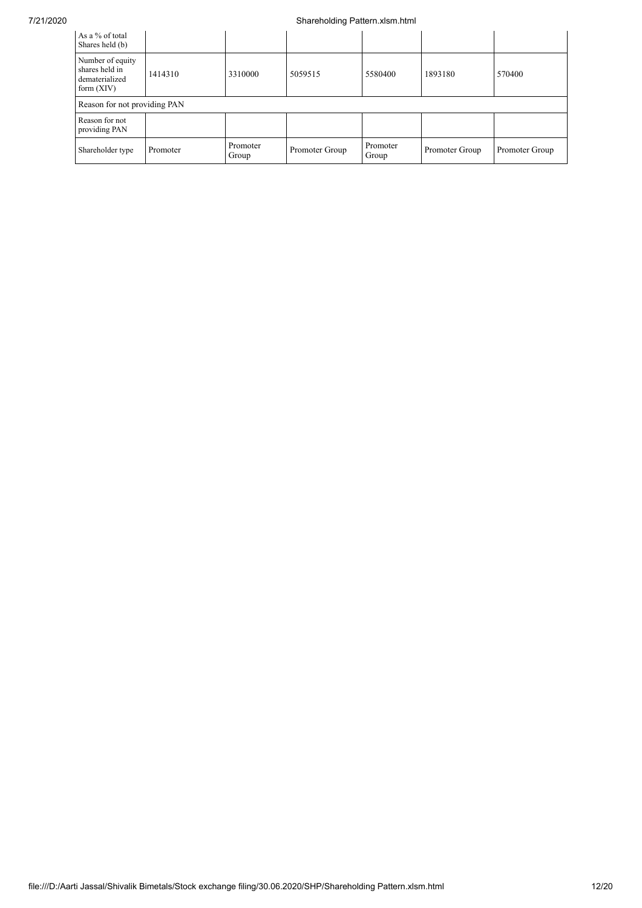## 7/21/2020 Shareholding Pattern.xlsm.html

| As a % of total<br>Shares held (b)                                   |          |                   |                |                   |                |                |
|----------------------------------------------------------------------|----------|-------------------|----------------|-------------------|----------------|----------------|
| Number of equity<br>shares held in<br>dematerialized<br>form $(XIV)$ | 1414310  | 3310000           | 5059515        | 5580400           | 1893180        | 570400         |
| Reason for not providing PAN                                         |          |                   |                |                   |                |                |
| Reason for not<br>providing PAN                                      |          |                   |                |                   |                |                |
| Shareholder type                                                     | Promoter | Promoter<br>Group | Promoter Group | Promoter<br>Group | Promoter Group | Promoter Group |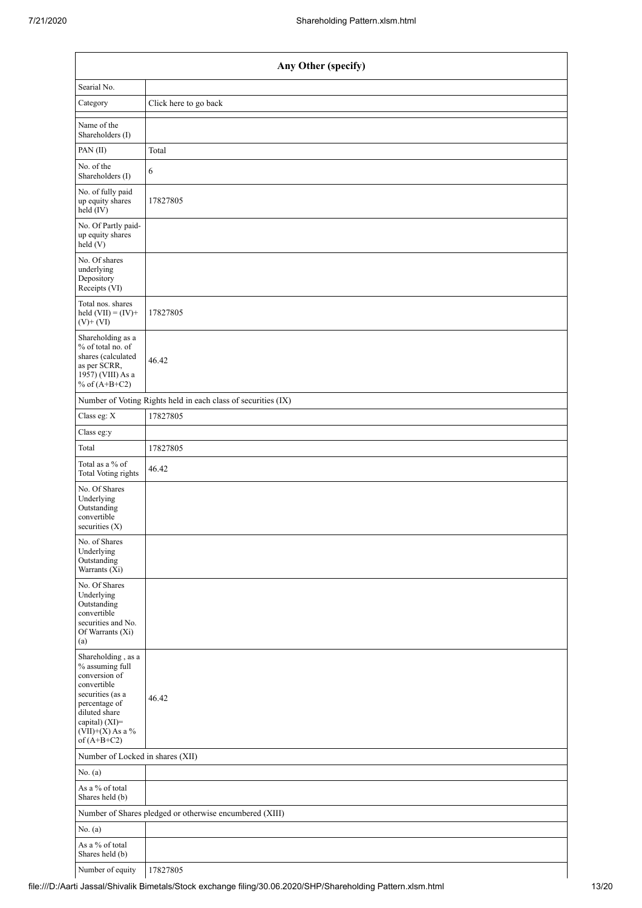| Any Other (specify)                                                                                                                                                                  |                                                               |  |  |  |  |
|--------------------------------------------------------------------------------------------------------------------------------------------------------------------------------------|---------------------------------------------------------------|--|--|--|--|
| Searial No.                                                                                                                                                                          |                                                               |  |  |  |  |
| Category                                                                                                                                                                             | Click here to go back                                         |  |  |  |  |
| Name of the<br>Shareholders (I)                                                                                                                                                      |                                                               |  |  |  |  |
| PAN (II)                                                                                                                                                                             | Total                                                         |  |  |  |  |
| No. of the<br>Shareholders (I)                                                                                                                                                       | 6                                                             |  |  |  |  |
| No. of fully paid<br>up equity shares<br>held (IV)                                                                                                                                   | 17827805                                                      |  |  |  |  |
| No. Of Partly paid-<br>up equity shares<br>held (V)                                                                                                                                  |                                                               |  |  |  |  |
| No. Of shares<br>underlying<br>Depository<br>Receipts (VI)                                                                                                                           |                                                               |  |  |  |  |
| Total nos. shares<br>held $(VII) = (IV) +$<br>$(V)+(VI)$                                                                                                                             | 17827805                                                      |  |  |  |  |
| Shareholding as a<br>% of total no. of<br>shares (calculated<br>as per SCRR,<br>1957) (VIII) As a<br>% of $(A+B+C2)$                                                                 | 46.42                                                         |  |  |  |  |
|                                                                                                                                                                                      | Number of Voting Rights held in each class of securities (IX) |  |  |  |  |
| Class eg: X                                                                                                                                                                          | 17827805                                                      |  |  |  |  |
| Class eg:y                                                                                                                                                                           |                                                               |  |  |  |  |
| Total                                                                                                                                                                                | 17827805                                                      |  |  |  |  |
| Total as a % of<br>Total Voting rights                                                                                                                                               | 46.42                                                         |  |  |  |  |
| No. Of Shares<br>Underlying<br>Outstanding<br>convertible<br>securities $(X)$                                                                                                        |                                                               |  |  |  |  |
| No. of Shares<br>Underlying<br>Outstanding<br>Warrants (Xi)                                                                                                                          |                                                               |  |  |  |  |
| No. Of Shares<br>Underlying<br>Outstanding<br>convertible<br>securities and No.<br>Of Warrants (Xi)<br>(a)                                                                           |                                                               |  |  |  |  |
| Shareholding, as a<br>% assuming full<br>conversion of<br>convertible<br>securities (as a<br>percentage of<br>diluted share<br>capital) (XI)=<br>$(VII)+(X)$ As a %<br>of $(A+B+C2)$ | 46.42                                                         |  |  |  |  |
| Number of Locked in shares (XII)                                                                                                                                                     |                                                               |  |  |  |  |
| No. (a)                                                                                                                                                                              |                                                               |  |  |  |  |
| As a % of total<br>Shares held (b)                                                                                                                                                   |                                                               |  |  |  |  |
|                                                                                                                                                                                      | Number of Shares pledged or otherwise encumbered (XIII)       |  |  |  |  |
| No. (a)                                                                                                                                                                              |                                                               |  |  |  |  |
| As a $\%$ of total<br>Shares held (b)                                                                                                                                                |                                                               |  |  |  |  |
| Number of equity                                                                                                                                                                     | 17827805                                                      |  |  |  |  |

file:///D:/Aarti Jassal/Shivalik Bimetals/Stock exchange filing/30.06.2020/SHP/Shareholding Pattern.xlsm.html 13/20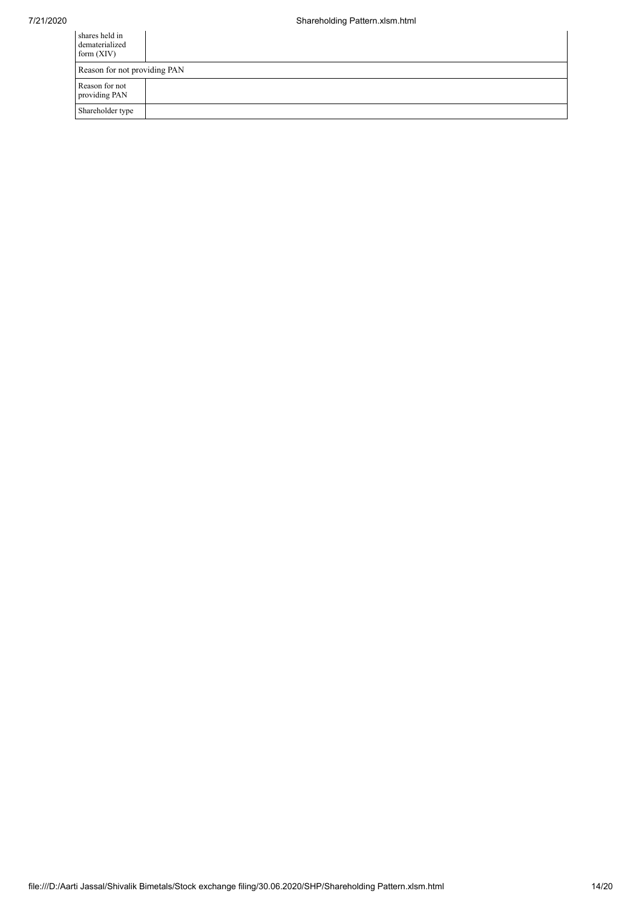| shares held in<br>dematerialized<br>form $(XIV)$ |  |
|--------------------------------------------------|--|
| Reason for not providing PAN                     |  |
| Reason for not<br>providing PAN                  |  |
| Shareholder type                                 |  |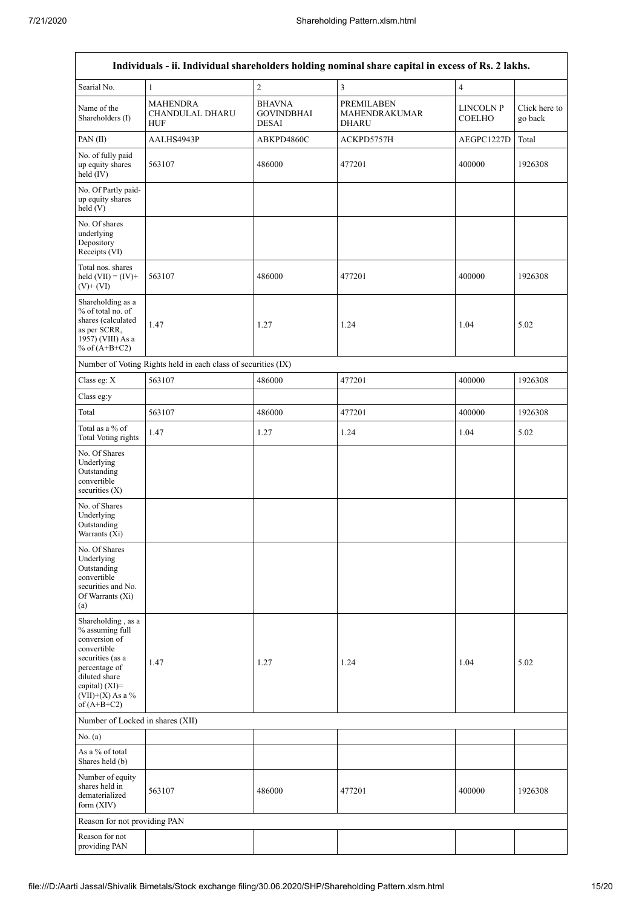$\mathbf{r}$ 

| Individuals - ii. Individual shareholders holding nominal share capital in excess of Rs. 2 lakhs.                                                                                    |                                                               |                                                    |                                                    |                          |                          |  |
|--------------------------------------------------------------------------------------------------------------------------------------------------------------------------------------|---------------------------------------------------------------|----------------------------------------------------|----------------------------------------------------|--------------------------|--------------------------|--|
| Searial No.                                                                                                                                                                          | $\mathbf{1}$                                                  | $\sqrt{2}$                                         | 3                                                  | $\overline{\mathcal{L}}$ |                          |  |
| Name of the<br>Shareholders (I)                                                                                                                                                      | <b>MAHENDRA</b><br><b>CHANDULAL DHARU</b><br><b>HUF</b>       | <b>BHAVNA</b><br><b>GOVINDBHAI</b><br><b>DESAI</b> | <b>PREMILABEN</b><br>MAHENDRAKUMAR<br><b>DHARU</b> | LINCOLN P<br>COELHO      | Click here to<br>go back |  |
| PAN(II)                                                                                                                                                                              | AALHS4943P                                                    | ABKPD4860C                                         | ACKPD5757H                                         | AEGPC1227D               | Total                    |  |
| No. of fully paid<br>up equity shares<br>held (IV)                                                                                                                                   | 563107                                                        | 486000                                             | 477201                                             | 400000                   | 1926308                  |  |
| No. Of Partly paid-<br>up equity shares<br>held(V)                                                                                                                                   |                                                               |                                                    |                                                    |                          |                          |  |
| No. Of shares<br>underlying<br>Depository<br>Receipts (VI)                                                                                                                           |                                                               |                                                    |                                                    |                          |                          |  |
| Total nos. shares<br>held $(VII) = (IV) +$<br>$(V)$ + $(VI)$                                                                                                                         | 563107                                                        | 486000                                             | 477201                                             | 400000                   | 1926308                  |  |
| Shareholding as a<br>% of total no. of<br>shares (calculated<br>as per SCRR,<br>1957) (VIII) As a<br>% of $(A+B+C2)$                                                                 | 1.47                                                          | 1.27                                               | 1.24                                               | 1.04                     | 5.02                     |  |
|                                                                                                                                                                                      | Number of Voting Rights held in each class of securities (IX) |                                                    |                                                    |                          |                          |  |
| Class eg: X                                                                                                                                                                          | 563107                                                        | 486000                                             | 477201                                             | 400000                   | 1926308                  |  |
| Class eg:y                                                                                                                                                                           |                                                               |                                                    |                                                    |                          |                          |  |
| Total                                                                                                                                                                                | 563107                                                        | 486000                                             | 477201                                             | 400000                   | 1926308                  |  |
| Total as a % of<br><b>Total Voting rights</b>                                                                                                                                        | 1.47                                                          | 1.27                                               | 1.24                                               | 1.04                     | 5.02                     |  |
| No. Of Shares<br>Underlying<br>Outstanding<br>convertible<br>securities $(X)$                                                                                                        |                                                               |                                                    |                                                    |                          |                          |  |
| No. of Shares<br>Underlying<br>Outstanding<br>Warrants (Xi)                                                                                                                          |                                                               |                                                    |                                                    |                          |                          |  |
| No. Of Shares<br>Underlying<br>Outstanding<br>convertible<br>securities and No.<br>Of Warrants (Xi)<br>(a)                                                                           |                                                               |                                                    |                                                    |                          |                          |  |
| Shareholding, as a<br>% assuming full<br>conversion of<br>convertible<br>securities (as a<br>percentage of<br>diluted share<br>capital) (XI)=<br>$(VII)+(X)$ As a %<br>of $(A+B+C2)$ | 1.47                                                          | 1.27                                               | 1.24                                               | 1.04                     | 5.02                     |  |
| Number of Locked in shares (XII)                                                                                                                                                     |                                                               |                                                    |                                                    |                          |                          |  |
| No. (a)                                                                                                                                                                              |                                                               |                                                    |                                                    |                          |                          |  |
| As a % of total<br>Shares held (b)                                                                                                                                                   |                                                               |                                                    |                                                    |                          |                          |  |
| Number of equity<br>shares held in<br>dematerialized<br>form (XIV)                                                                                                                   | 563107                                                        | 486000                                             | 477201                                             | 400000                   | 1926308                  |  |
| Reason for not providing PAN                                                                                                                                                         |                                                               |                                                    |                                                    |                          |                          |  |
| Reason for not<br>providing PAN                                                                                                                                                      |                                                               |                                                    |                                                    |                          |                          |  |

٦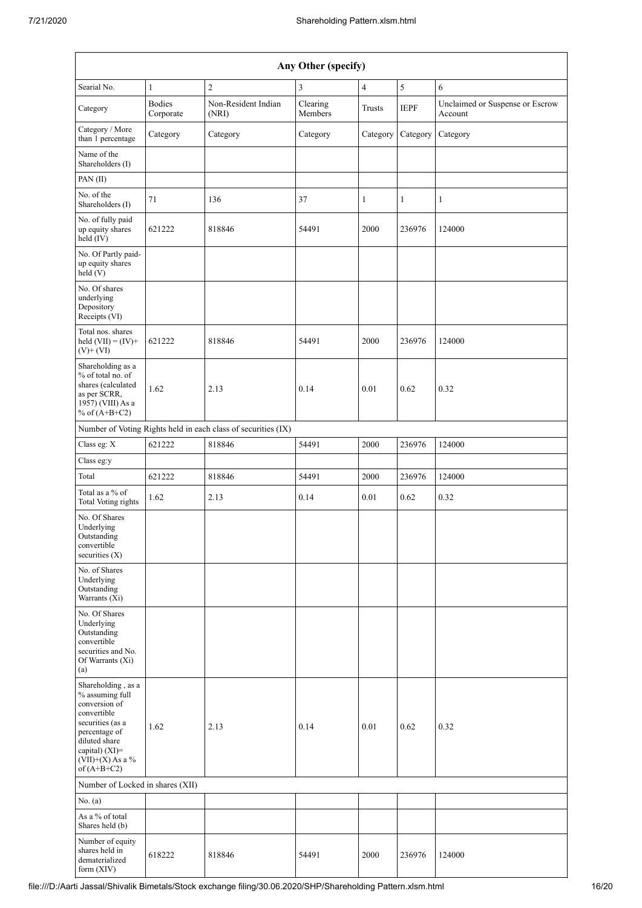| Any Other (specify)                                                                                                                                                                  |                            |                                                               |                     |                |              |                                            |
|--------------------------------------------------------------------------------------------------------------------------------------------------------------------------------------|----------------------------|---------------------------------------------------------------|---------------------|----------------|--------------|--------------------------------------------|
| Searial No.                                                                                                                                                                          | $\mathbf{1}$               | $\sqrt{2}$                                                    | 3                   | $\overline{4}$ | $\sqrt{5}$   | 6                                          |
| Category                                                                                                                                                                             | <b>Bodies</b><br>Corporate | Non-Resident Indian<br>(NRI)                                  | Clearing<br>Members | Trusts         | <b>IEPF</b>  | Unclaimed or Suspense or Escrow<br>Account |
| Category / More<br>than 1 percentage                                                                                                                                                 | Category                   | Category                                                      | Category            | Category       | Category     | Category                                   |
| Name of the<br>Shareholders (I)                                                                                                                                                      |                            |                                                               |                     |                |              |                                            |
| PAN(II)                                                                                                                                                                              |                            |                                                               |                     |                |              |                                            |
| No. of the<br>Shareholders (I)                                                                                                                                                       | 71                         | 136                                                           | 37                  | $\mathbf{1}$   | $\mathbf{1}$ | $\mathbf{1}$                               |
| No. of fully paid<br>up equity shares<br>held (IV)                                                                                                                                   | 621222                     | 818846                                                        | 54491               | 2000           | 236976       | 124000                                     |
| No. Of Partly paid-<br>up equity shares<br>held(V)                                                                                                                                   |                            |                                                               |                     |                |              |                                            |
| No. Of shares<br>underlying<br>Depository<br>Receipts (VI)                                                                                                                           |                            |                                                               |                     |                |              |                                            |
| Total nos. shares<br>held $(VII) = (IV) +$<br>$(V)$ + $(VI)$                                                                                                                         | 621222                     | 818846                                                        | 54491               | 2000           | 236976       | 124000                                     |
| Shareholding as a<br>% of total no. of<br>shares (calculated<br>as per SCRR,<br>1957) (VIII) As a<br>% of $(A+B+C2)$                                                                 | 1.62                       | 2.13                                                          | 0.14                | 0.01           | 0.62         | 0.32                                       |
|                                                                                                                                                                                      |                            | Number of Voting Rights held in each class of securities (IX) |                     |                |              |                                            |
| Class eg: X                                                                                                                                                                          | 621222                     | 818846                                                        | 54491               | 2000           | 236976       | 124000                                     |
| Class eg:y                                                                                                                                                                           |                            |                                                               |                     |                |              |                                            |
| Total                                                                                                                                                                                | 621222                     | 818846                                                        | 54491               | 2000           | 236976       | 124000                                     |
| Total as a % of<br><b>Total Voting rights</b>                                                                                                                                        | 1.62                       | 2.13                                                          | 0.14                | 0.01           | 0.62         | 0.32                                       |
| No. Of Shares<br>Underlying<br>Outstanding<br>convertible<br>securities $(X)$                                                                                                        |                            |                                                               |                     |                |              |                                            |
| No. of Shares<br>Underlying<br>Outstanding<br>Warrants (Xi)                                                                                                                          |                            |                                                               |                     |                |              |                                            |
| No. Of Shares<br>Underlying<br>Outstanding<br>convertible<br>securities and No.<br>Of Warrants (Xi)<br>(a)                                                                           |                            |                                                               |                     |                |              |                                            |
| Shareholding, as a<br>% assuming full<br>conversion of<br>convertible<br>securities (as a<br>percentage of<br>diluted share<br>capital) (XI)=<br>$(VII)+(X)$ As a %<br>of $(A+B+C2)$ | 1.62                       | 2.13                                                          | 0.14                | 0.01           | 0.62         | 0.32                                       |
| Number of Locked in shares (XII)                                                                                                                                                     |                            |                                                               |                     |                |              |                                            |
| No. (a)<br>As a % of total                                                                                                                                                           |                            |                                                               |                     |                |              |                                            |
| Shares held (b)<br>Number of equity                                                                                                                                                  |                            |                                                               |                     |                |              |                                            |
| shares held in<br>dematerialized<br>form (XIV)                                                                                                                                       | 618222                     | 818846                                                        | 54491               | 2000           | 236976       | 124000                                     |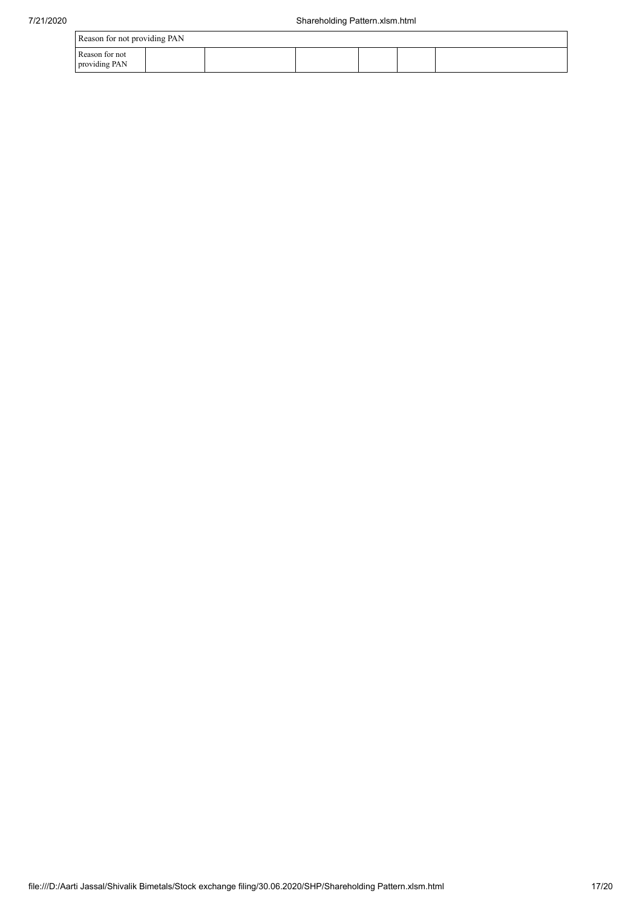| Reason for not providing PAN    |  |  |  |  |  |  |
|---------------------------------|--|--|--|--|--|--|
| Reason for not<br>providing PAN |  |  |  |  |  |  |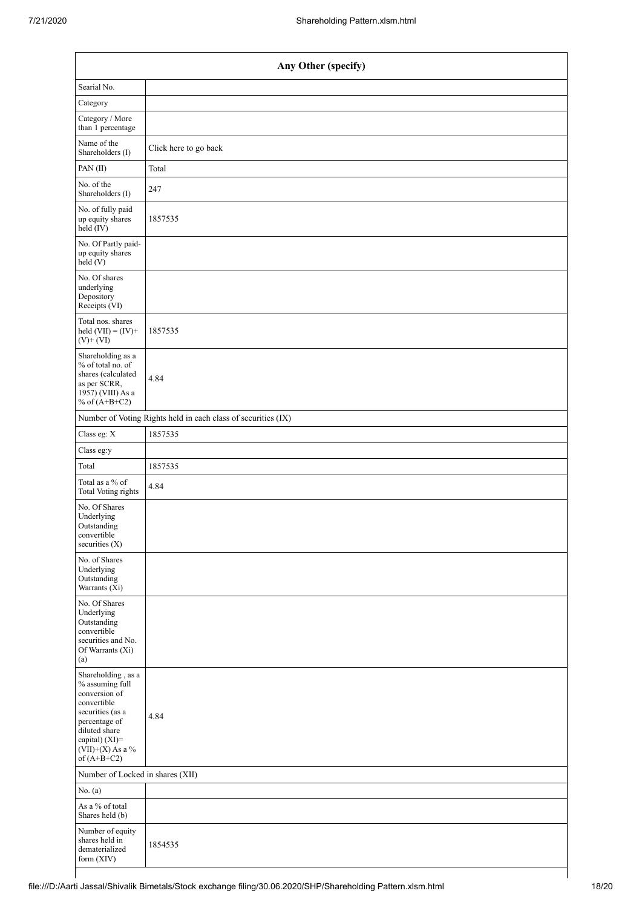| Any Other (specify)                                                                                                                                                                  |                                                               |  |  |  |  |
|--------------------------------------------------------------------------------------------------------------------------------------------------------------------------------------|---------------------------------------------------------------|--|--|--|--|
| Searial No.                                                                                                                                                                          |                                                               |  |  |  |  |
| Category                                                                                                                                                                             |                                                               |  |  |  |  |
| Category / More<br>than 1 percentage                                                                                                                                                 |                                                               |  |  |  |  |
| Name of the<br>Shareholders (I)                                                                                                                                                      | Click here to go back                                         |  |  |  |  |
| PAN(II)                                                                                                                                                                              | Total                                                         |  |  |  |  |
| No. of the<br>Shareholders (I)                                                                                                                                                       | 247                                                           |  |  |  |  |
| No. of fully paid<br>up equity shares<br>$\text{held} (IV)$                                                                                                                          | 1857535                                                       |  |  |  |  |
| No. Of Partly paid-<br>up equity shares<br>held(V)                                                                                                                                   |                                                               |  |  |  |  |
| No. Of shares<br>underlying<br>Depository<br>Receipts (VI)                                                                                                                           |                                                               |  |  |  |  |
| Total nos. shares<br>held $(VII) = (IV) +$<br>$(V)$ + $(VI)$                                                                                                                         | 1857535                                                       |  |  |  |  |
| Shareholding as a<br>% of total no. of<br>shares (calculated<br>as per SCRR,<br>$1957$ ) (VIII) As a<br>% of $(A+B+C2)$                                                              | 4.84                                                          |  |  |  |  |
|                                                                                                                                                                                      | Number of Voting Rights held in each class of securities (IX) |  |  |  |  |
| Class eg: X                                                                                                                                                                          | 1857535                                                       |  |  |  |  |
| Class eg:y                                                                                                                                                                           |                                                               |  |  |  |  |
| Total                                                                                                                                                                                | 1857535                                                       |  |  |  |  |
| Total as a % of<br><b>Total Voting rights</b>                                                                                                                                        | 4.84                                                          |  |  |  |  |
| No. Of Shares<br>Underlying<br>Outstanding<br>convertible<br>securities (X)                                                                                                          |                                                               |  |  |  |  |
| No. of Shares<br>Underlying<br>Outstanding<br>Warrants (Xi)                                                                                                                          |                                                               |  |  |  |  |
| No. Of Shares<br>Underlying<br>Outstanding<br>convertible<br>securities and No.<br>Of Warrants (Xi)<br>(a)                                                                           |                                                               |  |  |  |  |
| Shareholding, as a<br>% assuming full<br>conversion of<br>convertible<br>securities (as a<br>percentage of<br>diluted share<br>capital) (XI)=<br>$(VII)+(X)$ As a %<br>of $(A+B+C2)$ | 4.84                                                          |  |  |  |  |
| Number of Locked in shares (XII)                                                                                                                                                     |                                                               |  |  |  |  |
| No. $(a)$                                                                                                                                                                            |                                                               |  |  |  |  |
| As a % of total<br>Shares held (b)                                                                                                                                                   |                                                               |  |  |  |  |
| Number of equity<br>shares held in<br>dematerialized<br>form (XIV)                                                                                                                   | 1854535                                                       |  |  |  |  |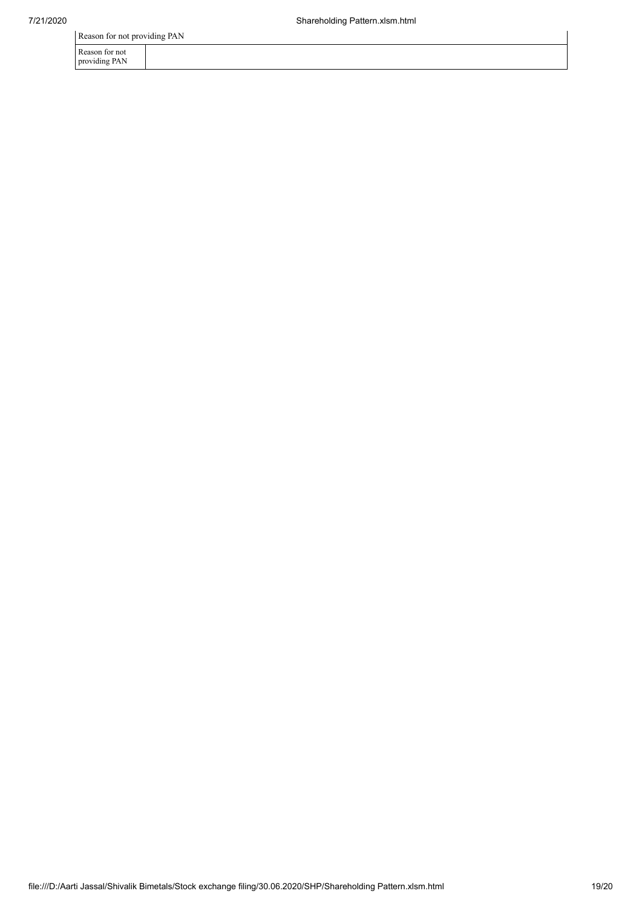Reason for not providing PAN

| Reason for not |  |
|----------------|--|

providing PAN